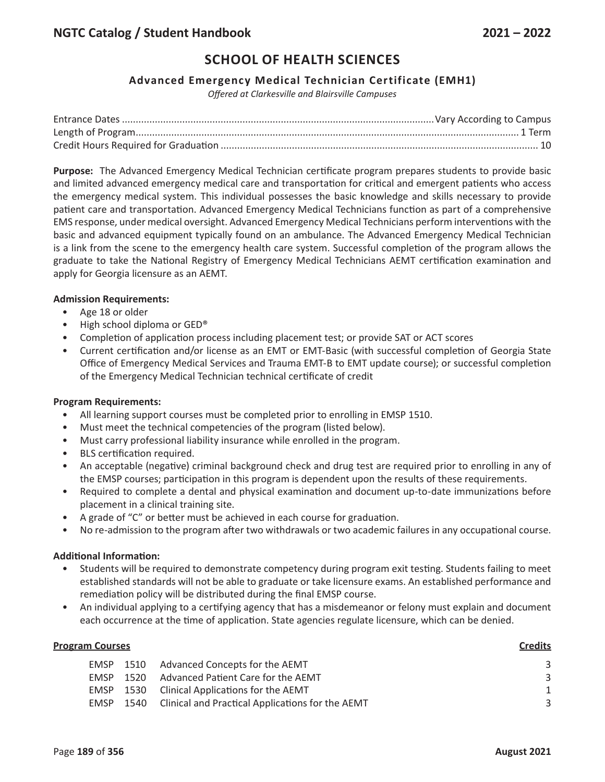# **Advanced Emergency Medical Technician Certificate (EMH1)**

*Offered at Clarkesville and Blairsville Campuses*

**Purpose:** The Advanced Emergency Medical Technician certificate program prepares students to provide basic and limited advanced emergency medical care and transportation for critical and emergent patients who access the emergency medical system. This individual possesses the basic knowledge and skills necessary to provide patient care and transportation. Advanced Emergency Medical Technicians function as part of a comprehensive EMS response, under medical oversight. Advanced Emergency Medical Technicians perform interventions with the basic and advanced equipment typically found on an ambulance. The Advanced Emergency Medical Technician is a link from the scene to the emergency health care system. Successful completion of the program allows the graduate to take the National Registry of Emergency Medical Technicians AEMT certification examination and apply for Georgia licensure as an AEMT.

## **Admission Requirements:**

- Age 18 or older
- High school diploma or GED®
- Completion of application process including placement test; or provide SAT or ACT scores
- Current certification and/or license as an EMT or EMT-Basic (with successful completion of Georgia State Office of Emergency Medical Services and Trauma EMT-B to EMT update course); or successful completion of the Emergency Medical Technician technical certificate of credit

### **Program Requirements:**

- All learning support courses must be completed prior to enrolling in EMSP 1510.
- Must meet the technical competencies of the program (listed below).
- Must carry professional liability insurance while enrolled in the program.
- BLS certification required.
- An acceptable (negative) criminal background check and drug test are required prior to enrolling in any of the EMSP courses; participation in this program is dependent upon the results of these requirements.
- Required to complete a dental and physical examination and document up-to-date immunizations before placement in a clinical training site.
- A grade of "C" or better must be achieved in each course for graduation.
- No re-admission to the program after two withdrawals or two academic failures in any occupational course.

### **Additional Information:**

- Students will be required to demonstrate competency during program exit testing. Students failing to meet established standards will not be able to graduate or take licensure exams. An established performance and remediation policy will be distributed during the final EMSP course.
- An individual applying to a certifying agency that has a misdemeanor or felony must explain and document each occurrence at the time of application. State agencies regulate licensure, which can be denied.

### **Program Courses Credits**

|      | EMSP 1510 Advanced Concepts for the AEMT              |  |
|------|-------------------------------------------------------|--|
|      | EMSP 1520 Advanced Patient Care for the AEMT          |  |
|      | EMSP 1530 Clinical Applications for the AEMT          |  |
| EMSP | 1540 Clinical and Practical Applications for the AEMT |  |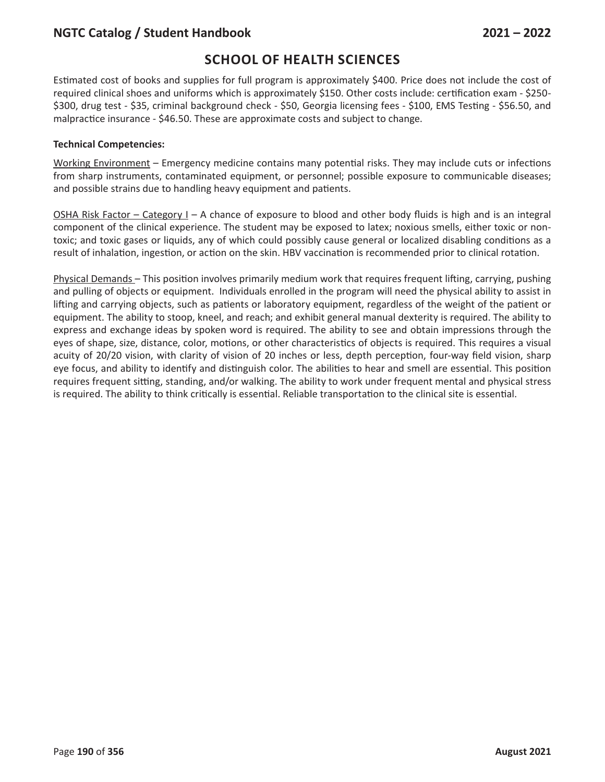# **NGTC Catalog / Student Handbook 2021 – 2022**

# **SCHOOL OF HEALTH SCIENCES**

Estimated cost of books and supplies for full program is approximately \$400. Price does not include the cost of required clinical shoes and uniforms which is approximately \$150. Other costs include: certification exam - \$250- \$300, drug test - \$35, criminal background check - \$50, Georgia licensing fees - \$100, EMS Testing - \$56.50, and malpractice insurance - \$46.50. These are approximate costs and subject to change.

## **Technical Competencies:**

Working Environment – Emergency medicine contains many potential risks. They may include cuts or infections from sharp instruments, contaminated equipment, or personnel; possible exposure to communicable diseases; and possible strains due to handling heavy equipment and patients.

OSHA Risk Factor – Category  $I - A$  chance of exposure to blood and other body fluids is high and is an integral component of the clinical experience. The student may be exposed to latex; noxious smells, either toxic or nontoxic; and toxic gases or liquids, any of which could possibly cause general or localized disabling conditions as a result of inhalation, ingestion, or action on the skin. HBV vaccination is recommended prior to clinical rotation.

Physical Demands – This position involves primarily medium work that requires frequent lifting, carrying, pushing and pulling of objects or equipment. Individuals enrolled in the program will need the physical ability to assist in lifting and carrying objects, such as patients or laboratory equipment, regardless of the weight of the patient or equipment. The ability to stoop, kneel, and reach; and exhibit general manual dexterity is required. The ability to express and exchange ideas by spoken word is required. The ability to see and obtain impressions through the eyes of shape, size, distance, color, motions, or other characteristics of objects is required. This requires a visual acuity of 20/20 vision, with clarity of vision of 20 inches or less, depth perception, four-way field vision, sharp eye focus, and ability to identify and distinguish color. The abilities to hear and smell are essential. This position requires frequent sitting, standing, and/or walking. The ability to work under frequent mental and physical stress is required. The ability to think critically is essential. Reliable transportation to the clinical site is essential.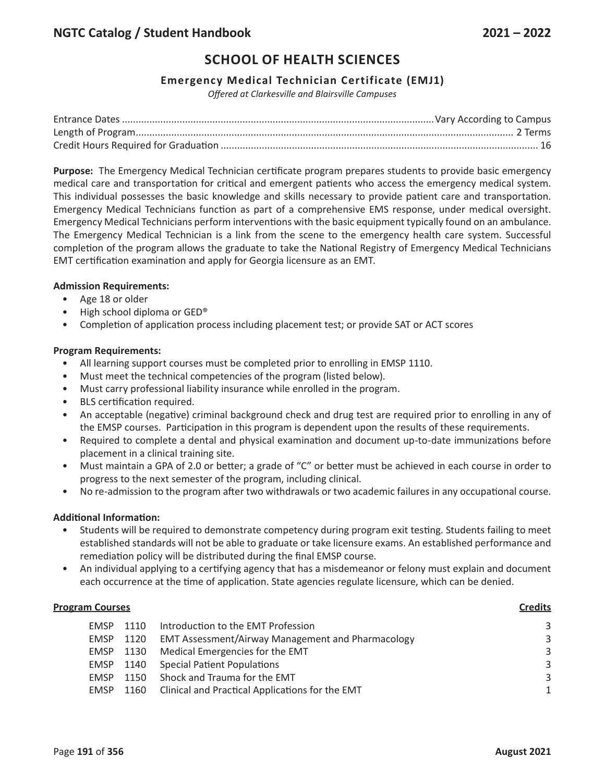# **Emergency Medical Technician Certificate (EMJ1)**

*Offered at Clarkesville and Blairsville Campuses*

**Purpose:** The Emergency Medical Technician certificate program prepares students to provide basic emergency medical care and transportation for critical and emergent patients who access the emergency medical system. This individual possesses the basic knowledge and skills necessary to provide patient care and transportation. Emergency Medical Technicians function as part of a comprehensive EMS response, under medical oversight. Emergency Medical Technicians perform interventions with the basic equipment typically found on an ambulance. The Emergency Medical Technician is a link from the scene to the emergency health care system. Successful completion of the program allows the graduate to take the National Registry of Emergency Medical Technicians EMT certification examination and apply for Georgia licensure as an EMT.

## **Admission Requirements:**

- Age 18 or older
- High school diploma or GED®
- Completion of application process including placement test; or provide SAT or ACT scores

## **Program Requirements:**

- All learning support courses must be completed prior to enrolling in EMSP 1110.
- Must meet the technical competencies of the program (listed below).
- Must carry professional liability insurance while enrolled in the program.
- BLS certification required.
- An acceptable (negative) criminal background check and drug test are required prior to enrolling in any of the EMSP courses. Participation in this program is dependent upon the results of these requirements.
- Required to complete a dental and physical examination and document up-to-date immunizations before placement in a clinical training site.
- Must maintain a GPA of 2.0 or better; a grade of "C" or better must be achieved in each course in order to progress to the next semester of the program, including clinical.
- No re-admission to the program after two withdrawals or two academic failures in any occupational course.

# **Additional Information:**

- Students will be required to demonstrate competency during program exit testing. Students failing to meet established standards will not be able to graduate or take licensure exams. An established performance and remediation policy will be distributed during the final EMSP course.
- An individual applying to a certifying agency that has a misdemeanor or felony must explain and document each occurrence at the time of application. State agencies regulate licensure, which can be denied.

### **Program Courses Credits**

| EMSP      | 1110 | Introduction to the EMT Profession                       | 3 |
|-----------|------|----------------------------------------------------------|---|
| EMSP      | 1120 | <b>EMT Assessment/Airway Management and Pharmacology</b> | 3 |
| EMSP 1130 |      | Medical Emergencies for the EMT                          | 3 |
|           |      | <b>EMSP</b> 1140 Special Patient Populations             | 3 |
| EMSP      |      | 1150 Shock and Trauma for the EMT                        | 3 |
| EMSP      |      | 1160 Clinical and Practical Applications for the EMT     | 1 |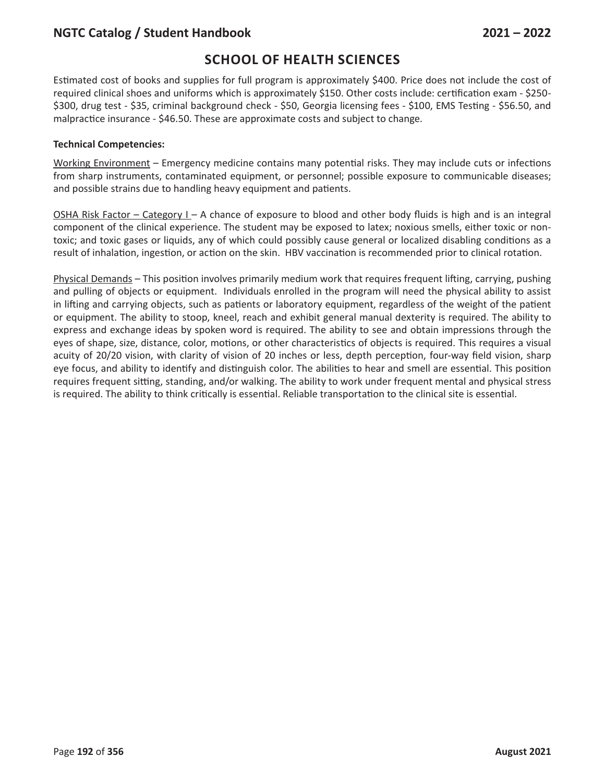# **NGTC Catalog / Student Handbook 2021 – 2022**

# **SCHOOL OF HEALTH SCIENCES**

Estimated cost of books and supplies for full program is approximately \$400. Price does not include the cost of required clinical shoes and uniforms which is approximately \$150. Other costs include: certification exam - \$250- \$300, drug test - \$35, criminal background check - \$50, Georgia licensing fees - \$100, EMS Testing - \$56.50, and malpractice insurance - \$46.50. These are approximate costs and subject to change.

## **Technical Competencies:**

Working Environment – Emergency medicine contains many potential risks. They may include cuts or infections from sharp instruments, contaminated equipment, or personnel; possible exposure to communicable diseases; and possible strains due to handling heavy equipment and patients.

OSHA Risk Factor – Category I – A chance of exposure to blood and other body fluids is high and is an integral component of the clinical experience. The student may be exposed to latex; noxious smells, either toxic or nontoxic; and toxic gases or liquids, any of which could possibly cause general or localized disabling conditions as a result of inhalation, ingestion, or action on the skin. HBV vaccination is recommended prior to clinical rotation.

Physical Demands – This position involves primarily medium work that requires frequent lifting, carrying, pushing and pulling of objects or equipment. Individuals enrolled in the program will need the physical ability to assist in lifting and carrying objects, such as patients or laboratory equipment, regardless of the weight of the patient or equipment. The ability to stoop, kneel, reach and exhibit general manual dexterity is required. The ability to express and exchange ideas by spoken word is required. The ability to see and obtain impressions through the eyes of shape, size, distance, color, motions, or other characteristics of objects is required. This requires a visual acuity of 20/20 vision, with clarity of vision of 20 inches or less, depth perception, four-way field vision, sharp eye focus, and ability to identify and distinguish color. The abilities to hear and smell are essential. This position requires frequent sitting, standing, and/or walking. The ability to work under frequent mental and physical stress is required. The ability to think critically is essential. Reliable transportation to the clinical site is essential.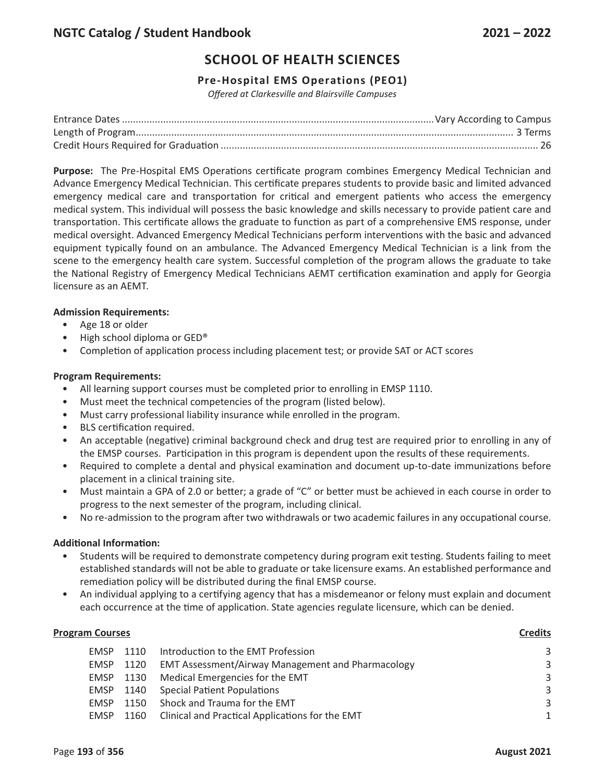# **Pre-Hospital EMS Operations (PEO1)**

*Offered at Clarkesville and Blairsville Campuses*

**Purpose:** The Pre-Hospital EMS Operations certificate program combines Emergency Medical Technician and Advance Emergency Medical Technician. This certificate prepares students to provide basic and limited advanced emergency medical care and transportation for critical and emergent patients who access the emergency medical system. This individual will possess the basic knowledge and skills necessary to provide patient care and transportation. This certificate allows the graduate to function as part of a comprehensive EMS response, under medical oversight. Advanced Emergency Medical Technicians perform interventions with the basic and advanced equipment typically found on an ambulance. The Advanced Emergency Medical Technician is a link from the scene to the emergency health care system. Successful completion of the program allows the graduate to take the National Registry of Emergency Medical Technicians AEMT certification examination and apply for Georgia licensure as an AEMT.

## **Admission Requirements:**

- Age 18 or older
- High school diploma or GED®
- Completion of application process including placement test; or provide SAT or ACT scores

## **Program Requirements:**

- All learning support courses must be completed prior to enrolling in EMSP 1110.
- Must meet the technical competencies of the program (listed below).
- Must carry professional liability insurance while enrolled in the program.
- BLS certification required.
- An acceptable (negative) criminal background check and drug test are required prior to enrolling in any of the EMSP courses. Participation in this program is dependent upon the results of these requirements.
- Required to complete a dental and physical examination and document up-to-date immunizations before placement in a clinical training site.
- Must maintain a GPA of 2.0 or better; a grade of "C" or better must be achieved in each course in order to progress to the next semester of the program, including clinical.
- No re-admission to the program after two withdrawals or two academic failures in any occupational course.

### **Additional Information:**

- Students will be required to demonstrate competency during program exit testing. Students failing to meet established standards will not be able to graduate or take licensure exams. An established performance and remediation policy will be distributed during the final EMSP course.
- An individual applying to a certifying agency that has a misdemeanor or felony must explain and document each occurrence at the time of application. State agencies regulate licensure, which can be denied.

| <b>Program Courses</b> |           |                                                          | <b>Credits</b> |
|------------------------|-----------|----------------------------------------------------------|----------------|
| <b>FMSP</b>            | 1110      | Introduction to the EMT Profession                       | 3              |
| EMSP                   | 1120      | <b>EMT Assessment/Airway Management and Pharmacology</b> | 3              |
|                        | EMSP 1130 | Medical Emergencies for the EMT                          | $\overline{3}$ |
|                        |           | <b>EMSP</b> 1140 Special Patient Populations             | $\overline{3}$ |
| <b>FMSP</b>            | 1150      | Shock and Trauma for the EMT                             | $\overline{3}$ |
| <b>EMSP</b>            | 1160      | Clinical and Practical Applications for the EMT          | 1              |